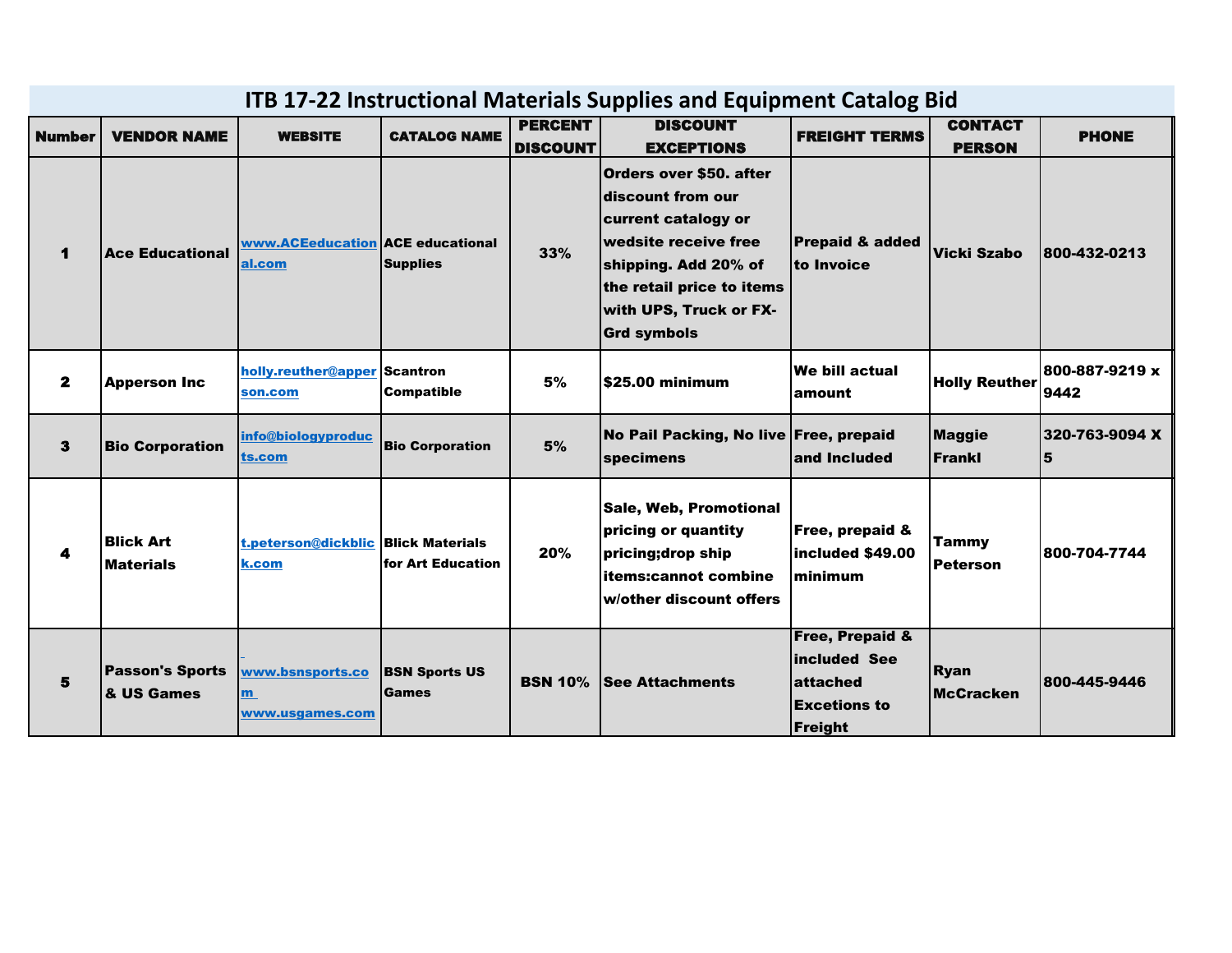| <b>ITB 17-22 Instructional Materials Supplies and Equipment Catalog Bid</b> |                                      |                                              |                               |                                   |                                                                                                                                                                                                         |                                                                                          |                                 |                        |  |  |  |
|-----------------------------------------------------------------------------|--------------------------------------|----------------------------------------------|-------------------------------|-----------------------------------|---------------------------------------------------------------------------------------------------------------------------------------------------------------------------------------------------------|------------------------------------------------------------------------------------------|---------------------------------|------------------------|--|--|--|
| <b>Number</b>                                                               | <b>VENDOR NAME</b>                   | <b>WEBSITE</b>                               | <b>CATALOG NAME</b>           | <b>PERCENT</b><br><b>DISCOUNT</b> | <b>DISCOUNT</b><br><b>EXCEPTIONS</b>                                                                                                                                                                    | <b>FREIGHT TERMS</b>                                                                     | <b>CONTACT</b><br><b>PERSON</b> | <b>PHONE</b>           |  |  |  |
| 1                                                                           | <b>Ace Educational</b>               | www.ACEeducation ACE educational<br>al.com   | <b>Supplies</b>               | 33%                               | Orders over \$50. after<br>discount from our<br>current catalogy or<br>wedsite receive free<br>shipping. Add 20% of<br>the retail price to items<br><b>with UPS, Truck or FX-</b><br><b>Grd symbols</b> | <b>Prepaid &amp; added</b><br>to Invoice                                                 | <b>Vicki Szabo</b>              | 800-432-0213           |  |  |  |
| $\mathbf{2}$                                                                | <b>Apperson Inc</b>                  | holly.reuther@apper Scantron<br>son.com      | <b>Compatible</b>             | 5%                                | \$25.00 minimum                                                                                                                                                                                         | We bill actual<br>amount                                                                 | <b>Holly Reuther</b>            | 800-887-9219 x<br>9442 |  |  |  |
| 3                                                                           | <b>Bio Corporation</b>               | info@biologyproduc<br>ts.com                 | <b>Bio Corporation</b>        | 5%                                | No Pail Packing, No live Free, prepaid<br>specimens                                                                                                                                                     | and Included                                                                             | <b>Maggie</b><br>Frankl         | 320-763-9094 X<br>5    |  |  |  |
| 4                                                                           | <b>Blick Art</b><br><b>Materials</b> | t.peterson@dickblic Blick Materials<br>k.com | for Art Education             | 20%                               | <b>Sale, Web, Promotional</b><br>pricing or quantity<br>pricing; drop ship<br><b>items:cannot combine</b><br>w/other discount offers                                                                    | Free, prepaid &<br>included \$49.00<br>minimum                                           | <b>Tammy</b><br><b>Peterson</b> | 800-704-7744           |  |  |  |
| 5                                                                           | <b>Passon's Sports</b><br>& US Games | www.bsnsports.co<br>m.<br>www.usgames.com    | <b>BSN Sports US</b><br>Games | <b>BSN 10%</b>                    | <b>See Attachments</b>                                                                                                                                                                                  | <b>Free, Prepaid &amp;</b><br>included See<br>attached<br><b>Excetions to</b><br>Freight | <b>Ryan</b><br><b>McCracken</b> | 800-445-9446           |  |  |  |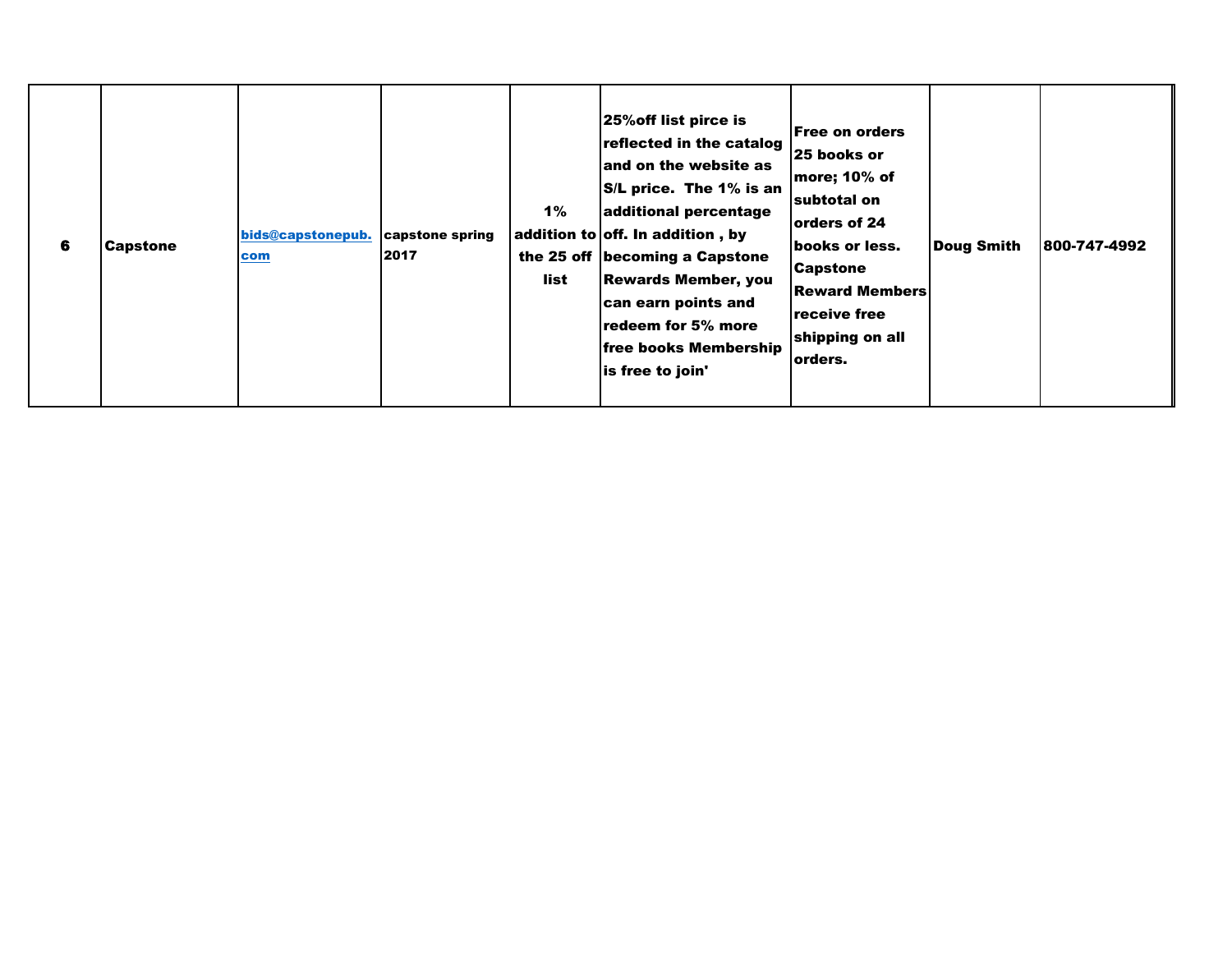| 6 | <b>Capstone</b> | bids@capstonepub.<br>com | capstone spring<br>2017 | 1%<br>list | 25% off list pirce is<br>reflected in the catalog<br>and on the website as<br>$\mathsf{S}/\mathsf{L}$ price. The 1% is an<br>additional percentage<br>addition to off. In addition, by<br>the 25 off   becoming a Capstone<br><b>Rewards Member, you</b><br>can earn points and<br>redeem for 5% more<br>free books Membership<br>is free to join' | Free on orders<br>25 books or<br>more; 10% of<br>subtotal on<br>lorders of 24<br>books or less.<br><b>Capstone</b><br><b>Reward Members</b><br>receive free<br>shipping on all<br>lorders. | <b>Doug Smith</b> | 1800-747-4992 |
|---|-----------------|--------------------------|-------------------------|------------|----------------------------------------------------------------------------------------------------------------------------------------------------------------------------------------------------------------------------------------------------------------------------------------------------------------------------------------------------|--------------------------------------------------------------------------------------------------------------------------------------------------------------------------------------------|-------------------|---------------|
|---|-----------------|--------------------------|-------------------------|------------|----------------------------------------------------------------------------------------------------------------------------------------------------------------------------------------------------------------------------------------------------------------------------------------------------------------------------------------------------|--------------------------------------------------------------------------------------------------------------------------------------------------------------------------------------------|-------------------|---------------|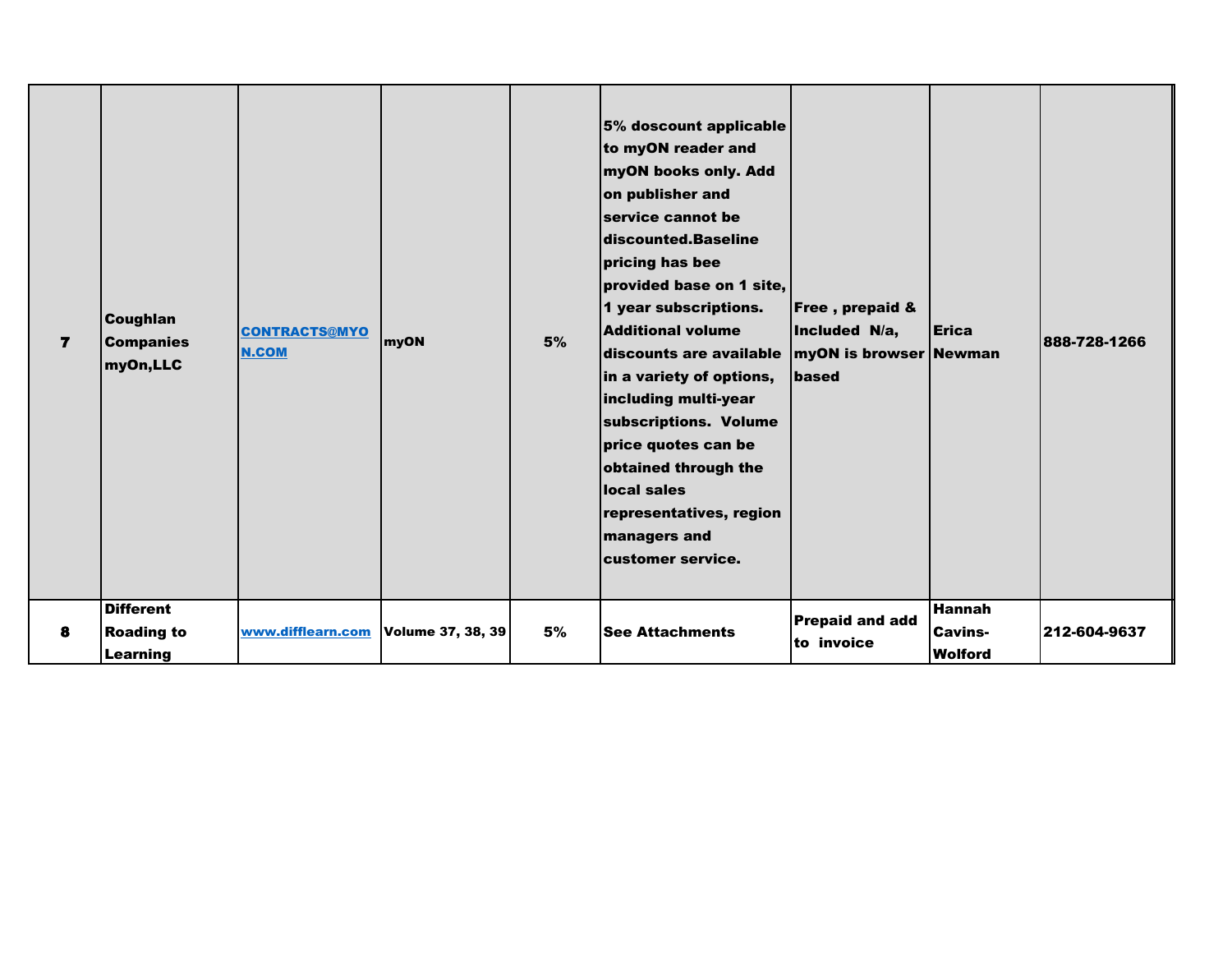| $\overline{ }$ | <b>Coughlan</b><br><b>Companies</b><br>myOn,LLC<br><b>Different</b> | <b>CONTRACTS@MYO</b><br><b>N.COM</b> | myON              | 5% | 5% doscount applicable<br>to myON reader and<br>myON books only. Add<br>on publisher and<br>service cannot be<br>discounted.Baseline<br>pricing has bee<br>provided base on 1 site,<br>1 year subscriptions.<br><b>Additional volume</b><br>discounts are available   myON is browser Newman<br>in a variety of options,<br>including multi-year<br>subscriptions. Volume<br>price quotes can be<br>obtained through the<br>local sales<br>representatives, region<br>managers and<br>customer service. | Free, prepaid &<br>Included N/a,<br><b>Ibased</b> | Erica<br> Hannah                 | 888-728-1266 |
|----------------|---------------------------------------------------------------------|--------------------------------------|-------------------|----|---------------------------------------------------------------------------------------------------------------------------------------------------------------------------------------------------------------------------------------------------------------------------------------------------------------------------------------------------------------------------------------------------------------------------------------------------------------------------------------------------------|---------------------------------------------------|----------------------------------|--------------|
| 8              | <b>Roading to</b><br>Learning                                       | www.difflearn.com                    | Volume 37, 38, 39 | 5% | <b>See Attachments</b>                                                                                                                                                                                                                                                                                                                                                                                                                                                                                  | <b>Prepaid and add</b><br>to invoice              | <b>Cavins-</b><br><b>Wolford</b> | 212-604-9637 |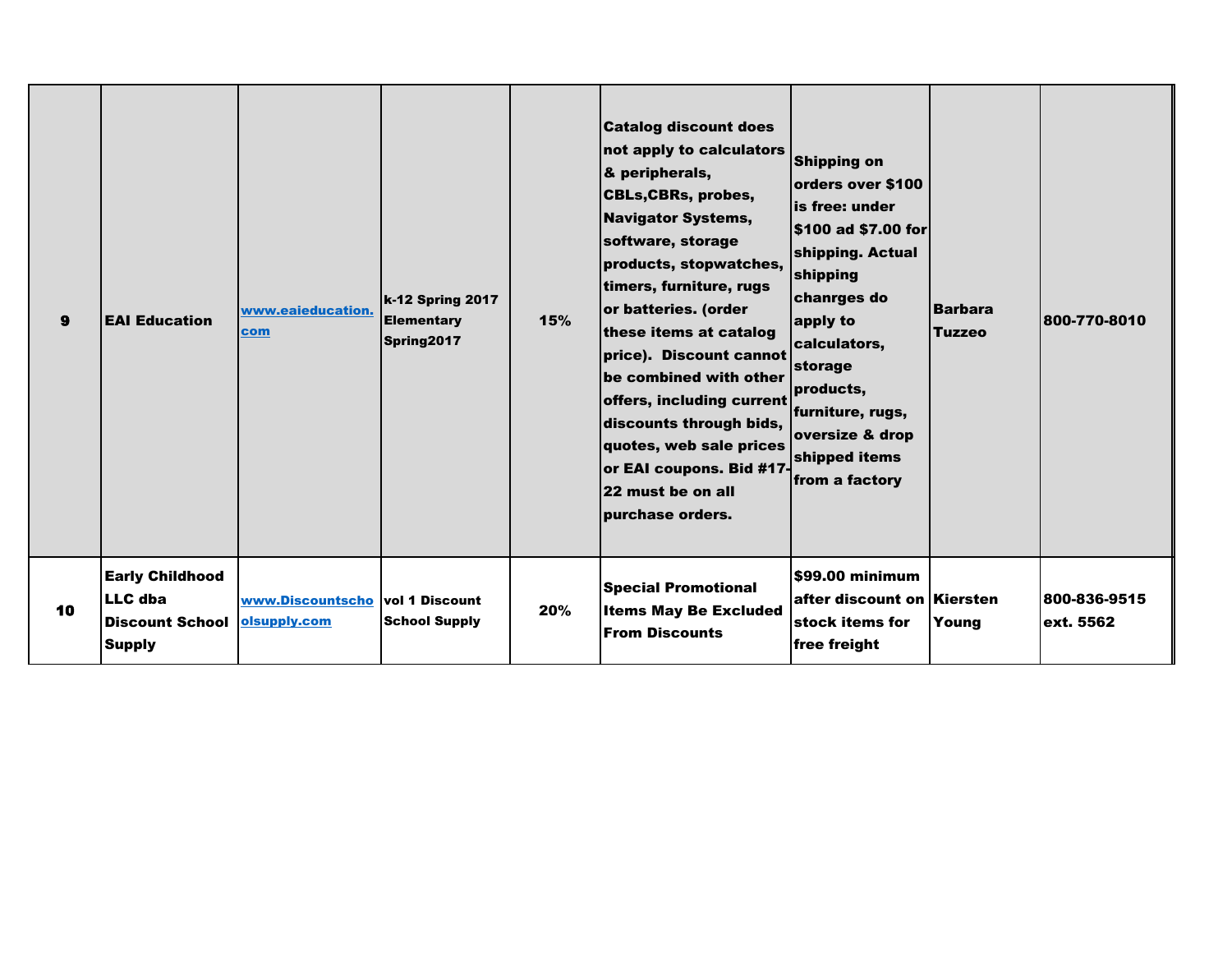| 9  | <b>EAI Education</b>                                                                | www.eaieducation.<br>com         | <b>k-12 Spring 2017</b><br><b>Elementary</b><br>Spring2017 | 15% | <b>Catalog discount does</b><br>not apply to calculators<br>& peripherals,<br><b>CBLs, CBRs, probes,</b><br><b>Navigator Systems,</b><br>software, storage<br>products, stopwatches,<br>timers, furniture, rugs<br>or batteries. (order<br>these items at catalog<br>price). Discount cannot<br>be combined with other<br>offers, including current<br>discounts through bids,<br>quotes, web sale prices<br>or EAI coupons. Bid #17<br>22 must be on all<br>purchase orders. | <b>Shipping on</b><br>orders over \$100<br>lis free: under<br>\$100 ad \$7.00 for<br>shipping. Actual<br>shipping<br>chanrges do<br>apply to<br>calculators,<br>storage<br>products,<br>furniture, rugs,<br>oversize & drop<br>shipped items<br>from a factory | <b>Barbara</b><br><b>Tuzzeo</b> | 800-770-8010              |
|----|-------------------------------------------------------------------------------------|----------------------------------|------------------------------------------------------------|-----|-------------------------------------------------------------------------------------------------------------------------------------------------------------------------------------------------------------------------------------------------------------------------------------------------------------------------------------------------------------------------------------------------------------------------------------------------------------------------------|----------------------------------------------------------------------------------------------------------------------------------------------------------------------------------------------------------------------------------------------------------------|---------------------------------|---------------------------|
| 10 | <b>Early Childhood</b><br><b>LLC</b> dba<br><b>Discount School</b><br><b>Supply</b> | www.Discountscho<br>olsupply.com | <b>vol 1 Discount</b><br><b>School Supply</b>              | 20% | <b>Special Promotional</b><br><b>Items May Be Excluded</b><br><b>From Discounts</b>                                                                                                                                                                                                                                                                                                                                                                                           | \$99.00 minimum<br>after discount on Kiersten<br>stock items for<br>free freight                                                                                                                                                                               | Young                           | 800-836-9515<br>ext. 5562 |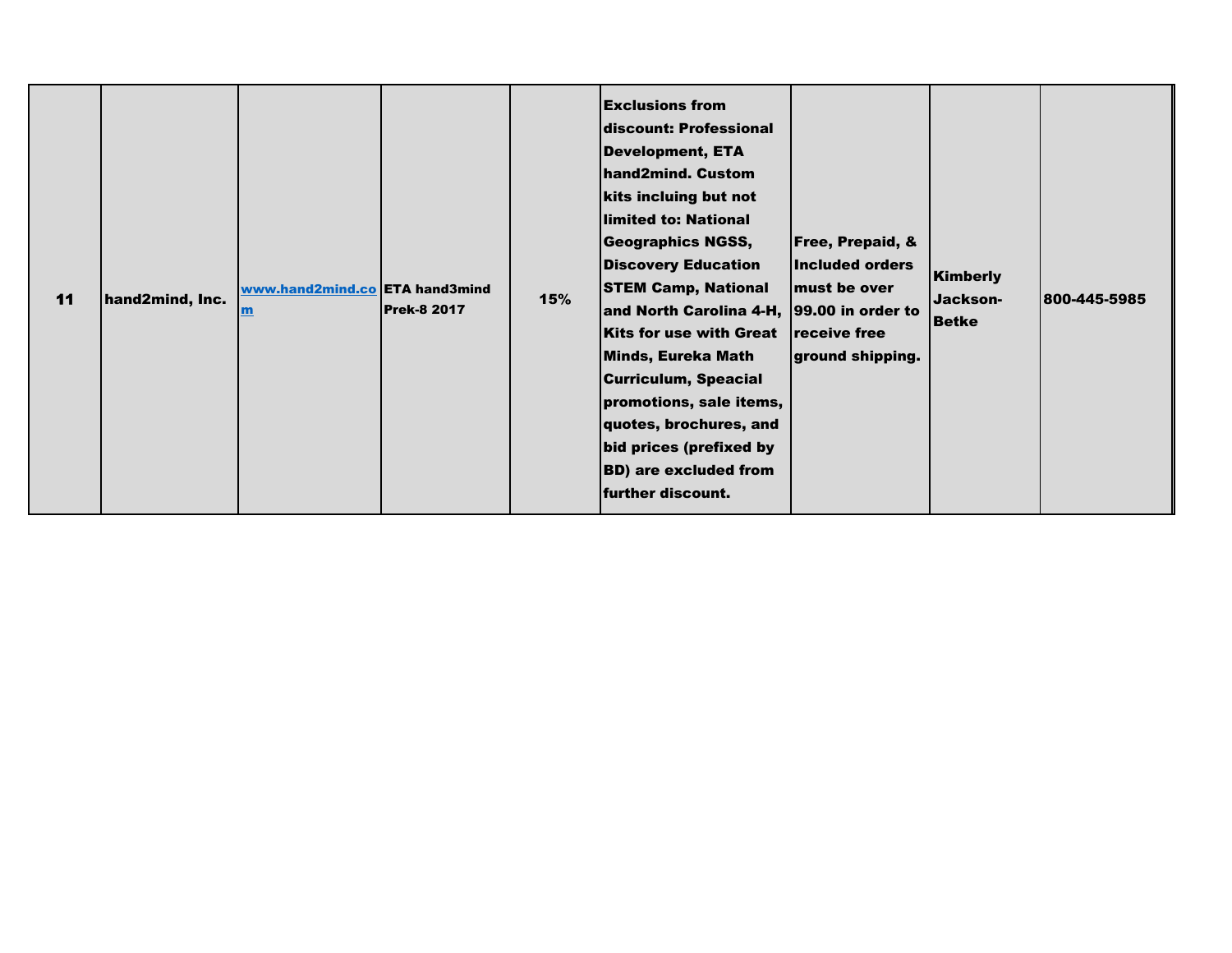| 11 | hand2mind, Inc. | www.hand2mind.co ETA hand3mind<br>$\mathbf{m}$ | <b>Prek-8 2017</b> | 15% | <b>Exclusions from</b><br>discount: Professional<br><b>Development, ETA</b><br>hand2mind. Custom<br>kits incluing but not<br>llimited to: National<br><b>Geographics NGSS,</b><br><b>Discovery Education</b><br><b>STEM Camp, National</b><br>and North Carolina 4-H, 99.00 in order to<br><b>Kits for use with Great</b><br>Minds, Eureka Math<br><b>Curriculum, Speacial</b><br>promotions, sale items,<br>quotes, brochures, and<br>bid prices (prefixed by<br><b>BD)</b> are excluded from<br>further discount. | <b>Free, Prepaid, &amp;</b><br>Included orders<br>must be over<br>receive free<br>ground shipping. | Kimberly<br>Jackson-<br><b>Betke</b> | 800-445-5985 |
|----|-----------------|------------------------------------------------|--------------------|-----|---------------------------------------------------------------------------------------------------------------------------------------------------------------------------------------------------------------------------------------------------------------------------------------------------------------------------------------------------------------------------------------------------------------------------------------------------------------------------------------------------------------------|----------------------------------------------------------------------------------------------------|--------------------------------------|--------------|
|----|-----------------|------------------------------------------------|--------------------|-----|---------------------------------------------------------------------------------------------------------------------------------------------------------------------------------------------------------------------------------------------------------------------------------------------------------------------------------------------------------------------------------------------------------------------------------------------------------------------------------------------------------------------|----------------------------------------------------------------------------------------------------|--------------------------------------|--------------|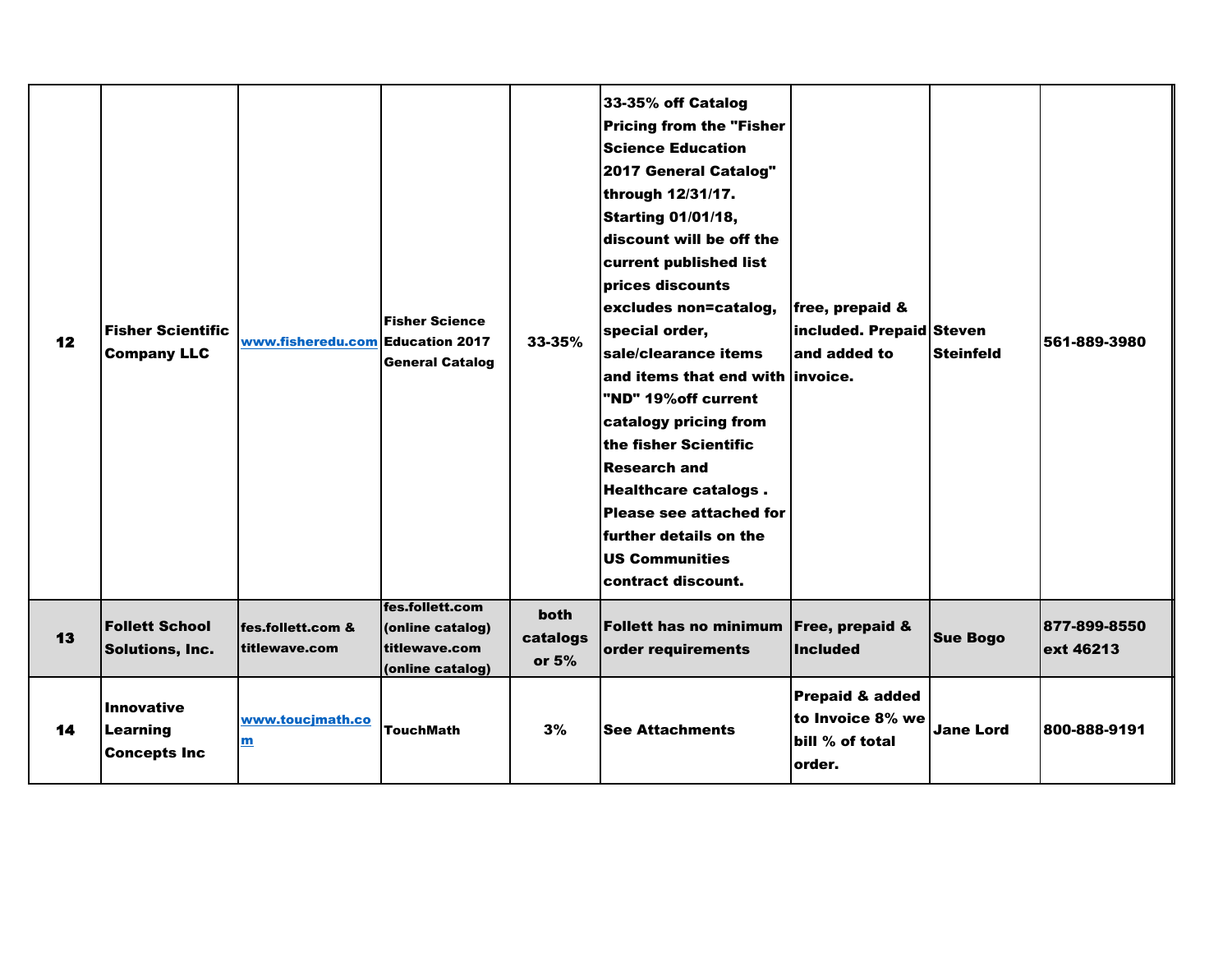| 12 | <b>Fisher Scientific</b><br><b>Company LLC</b>              | www.fisheredu.com Education 2017             | <b>Fisher Science</b><br><b>General Catalog</b>                          | 33-35%                             | 33-35% off Catalog<br><b>Pricing from the "Fisher</b><br><b>Science Education</b><br>2017 General Catalog"<br>through 12/31/17.<br><b>Starting 01/01/18,</b><br>discount will be off the<br>current published list<br>prices discounts<br>excludes non=catalog,<br>special order,<br>sale/clearance items<br>and items that end with invoice.<br>"ND" 19% off current<br>catalogy pricing from<br>the fisher Scientific<br><b>Research and</b><br><b>Healthcare catalogs.</b><br>Please see attached for<br>further details on the<br><b>US Communities</b><br>contract discount. | free, prepaid &<br>included. Prepaid Steven<br>and added to      | <b>Steinfeld</b> | 561-889-3980              |
|----|-------------------------------------------------------------|----------------------------------------------|--------------------------------------------------------------------------|------------------------------------|-----------------------------------------------------------------------------------------------------------------------------------------------------------------------------------------------------------------------------------------------------------------------------------------------------------------------------------------------------------------------------------------------------------------------------------------------------------------------------------------------------------------------------------------------------------------------------------|------------------------------------------------------------------|------------------|---------------------------|
| 13 | <b>Follett School</b><br><b>Solutions, Inc.</b>             | fes.follett.com &<br>titlewave.com           | fes.follett.com<br>(online catalog)<br>titlewave.com<br>(online catalog) | <b>both</b><br>catalogs<br>or $5%$ | Follett has no minimum Free, prepaid &<br>order requirements                                                                                                                                                                                                                                                                                                                                                                                                                                                                                                                      | <b>Included</b>                                                  | <b>Sue Bogo</b>  | 877-899-8550<br>ext 46213 |
| 14 | <b>Innovative</b><br><b>Learning</b><br><b>Concepts Inc</b> | www.toucjmath.co<br>$\underline{\mathbf{m}}$ | <b>TouchMath</b>                                                         | 3%                                 | <b>See Attachments</b>                                                                                                                                                                                                                                                                                                                                                                                                                                                                                                                                                            | Prepaid & added<br>to Invoice 8% we<br>bill % of total<br>order. | <b>Jane Lord</b> | 800-888-9191              |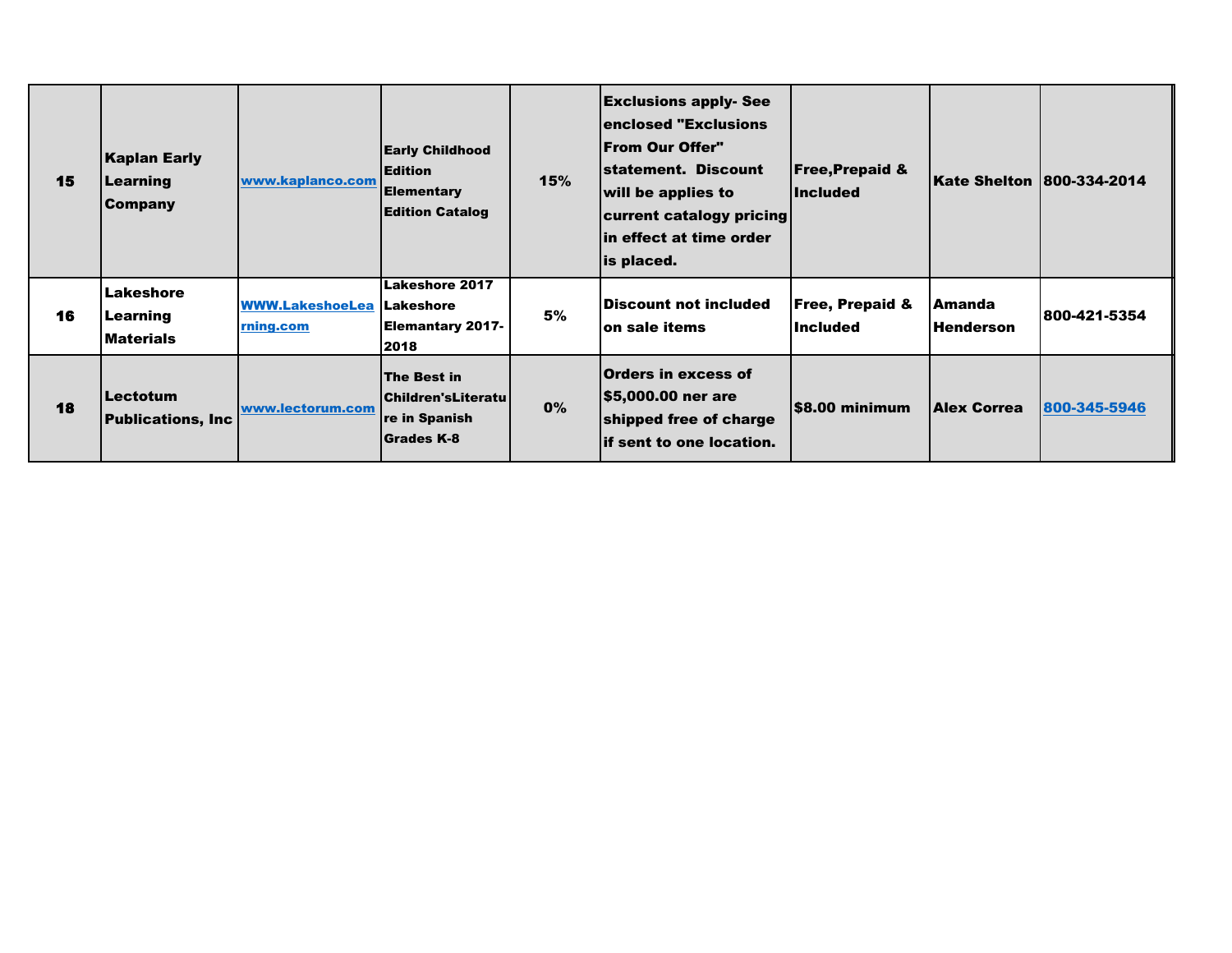| 15 | <b>Kaplan Early</b><br>Learning<br><b>Company</b> | www.kaplanco.com                    | <b>Early Childhood</b><br><b>Edition</b><br><b>Elementary</b><br><b>Edition Catalog</b> | 15% | <b>Exclusions apply- See</b><br>enclosed "Exclusions"<br> From Our Offer"<br>statement. Discount<br>will be applies to<br>current catalogy pricing<br>lin effect at time order<br>is placed. | <b>Free, Prepaid &amp;</b><br><b>Included</b> | Kate Shelton  800-334-2014  |              |
|----|---------------------------------------------------|-------------------------------------|-----------------------------------------------------------------------------------------|-----|----------------------------------------------------------------------------------------------------------------------------------------------------------------------------------------------|-----------------------------------------------|-----------------------------|--------------|
| 16 | Lakeshore<br><b>Learning</b><br><b>Materials</b>  | <b>WWW.LakeshoeLea</b><br>rning.com | <b>Lakeshore 2017</b><br><b>Lakeshore</b><br>Elemantary 2017-<br>2018                   | 5%  | Discount not included<br>lon sale items                                                                                                                                                      | <b>Free, Prepaid &amp;</b><br><b>Included</b> | lAmanda<br><b>Henderson</b> | 800-421-5354 |
| 18 | <b>Lectotum</b><br><b>Publications, Inc</b>       | www.lectorum.com                    | The Best in<br>  Children's Literatu  <br>re in Spanish<br><b>Grades K-8</b>            | 0%  | Orders in excess of<br> \$5,000.00 ner are<br>shipped free of charge<br>lif sent to one location.                                                                                            | S8.00 minimum                                 | <b>Alex Correa</b>          | 800-345-5946 |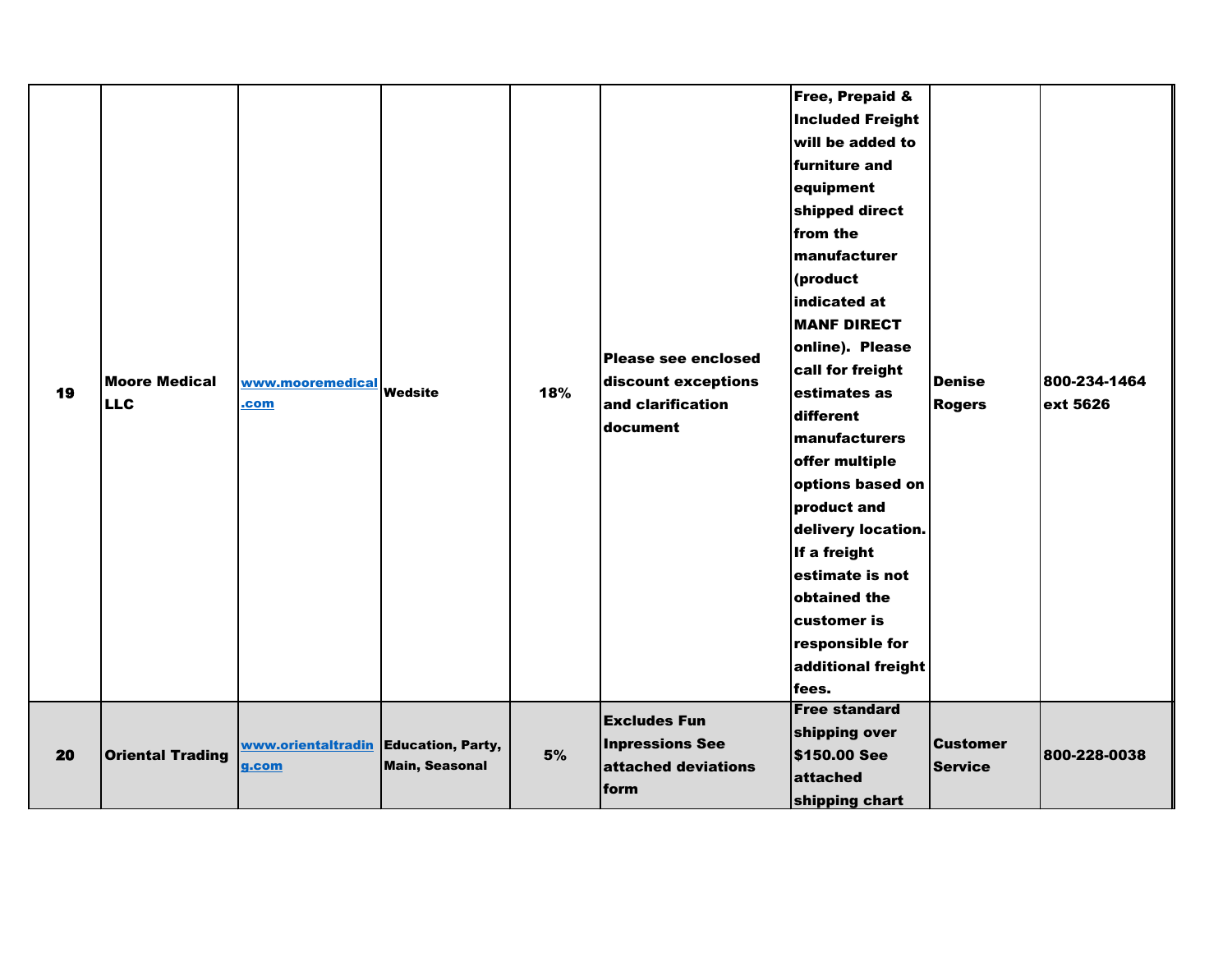| 19 | <b>Moore Medical</b><br><b>LLC</b> | www.mooremedical<br>.com                      | Wedsite               | 18% | Please see enclosed<br>discount exceptions<br>and clarification<br>document  | Free, Prepaid &<br><b>Included Freight</b><br>will be added to<br>furniture and<br>equipment<br>shipped direct<br>from the<br>manufacturer<br>(product<br>indicated at<br><b>MANF DIRECT</b><br>online). Please<br>call for freight<br>estimates as<br>different<br>manufacturers<br>offer multiple<br>options based on<br>product and<br>delivery location.<br>If a freight<br>estimate is not<br>obtained the<br>customer is<br>responsible for<br>additional freight<br>fees.<br><b>Free standard</b> | Denise<br><b>Rogers</b>    | 800-234-1464<br>ext 5626 |
|----|------------------------------------|-----------------------------------------------|-----------------------|-----|------------------------------------------------------------------------------|----------------------------------------------------------------------------------------------------------------------------------------------------------------------------------------------------------------------------------------------------------------------------------------------------------------------------------------------------------------------------------------------------------------------------------------------------------------------------------------------------------|----------------------------|--------------------------|
| 20 | <b>Oriental Trading</b>            | www.orientaltradin Education, Party,<br>g.com | <b>Main, Seasonal</b> | 5%  | <b>Excludes Fun</b><br><b>Inpressions See</b><br>attached deviations<br>form | shipping over<br>\$150.00 See<br>attached<br>shipping chart                                                                                                                                                                                                                                                                                                                                                                                                                                              | <b>Customer</b><br>Service | 800-228-0038             |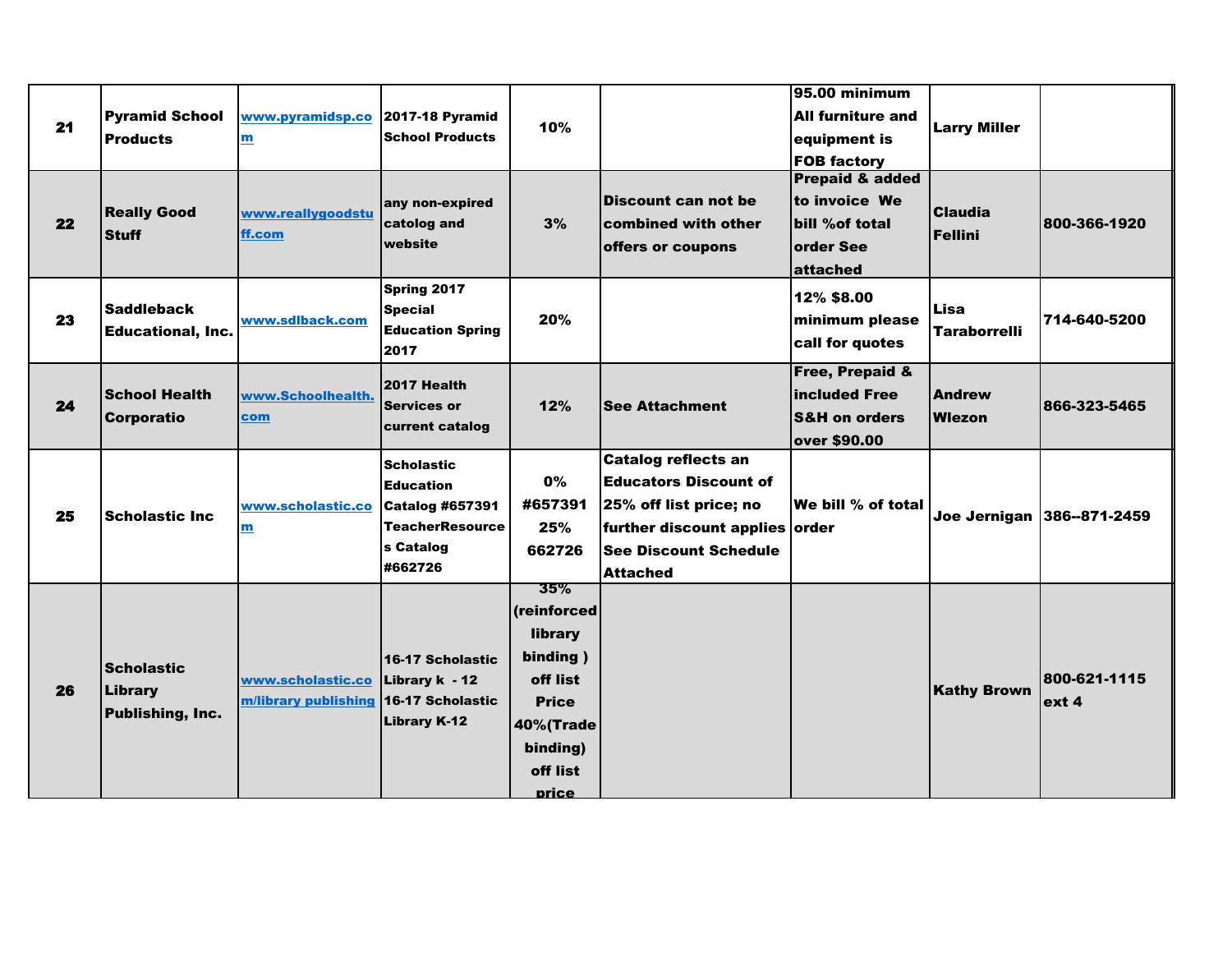|    |                          |                      |                         |              |                                | 95.00 minimum              |                     |                            |
|----|--------------------------|----------------------|-------------------------|--------------|--------------------------------|----------------------------|---------------------|----------------------------|
|    | <b>Pyramid School</b>    | www.pyramidsp.co     | <b>2017-18 Pyramid</b>  |              |                                | <b>All furniture and</b>   |                     |                            |
| 21 | <b>Products</b>          | $\mathbf{m}$         | <b>School Products</b>  | 10%          |                                | equipment is               | <b>Larry Miller</b> |                            |
|    |                          |                      |                         |              |                                | <b>FOB factory</b>         |                     |                            |
|    |                          |                      |                         |              |                                | <b>Prepaid &amp; added</b> |                     |                            |
|    |                          |                      | any non-expired         |              | <b>Discount can not be</b>     | to invoice We              | <b>Claudia</b>      |                            |
| 22 | <b>Really Good</b>       | www.reallygoodstu    | catolog and             | 3%           | combined with other            | bill %of total             |                     | 800-366-1920               |
|    | <b>Stuff</b>             | ff.com               | website                 |              | offers or coupons              | order See                  | Fellini             |                            |
|    |                          |                      |                         |              |                                | attached                   |                     |                            |
|    |                          |                      | Spring 2017             |              |                                | 12% \$8.00                 |                     |                            |
| 23 | <b>Saddleback</b>        | www.sdlback.com      | <b>Special</b>          | 20%          |                                | minimum please             | Lisa                | 714-640-5200               |
|    | <b>Educational, Inc.</b> |                      | <b>Education Spring</b> |              |                                | call for quotes            | <b>Taraborrelli</b> |                            |
|    |                          |                      | 2017                    |              |                                |                            |                     |                            |
|    |                          |                      | 2017 Health             |              |                                | <b>Free, Prepaid &amp;</b> |                     |                            |
| 24 | <b>School Health</b>     | www.Schoolhealth.    | <b>Services or</b>      | 12%          | <b>See Attachment</b>          | included Free              | <b>Andrew</b>       | 866-323-5465               |
|    | <b>Corporatio</b>        | com                  | current catalog         |              |                                | <b>S&amp;H</b> on orders   | Wiezon              |                            |
|    |                          |                      |                         |              |                                | over \$90.00               |                     |                            |
|    |                          |                      | <b>Scholastic</b>       |              | <b>Catalog reflects an</b>     |                            |                     |                            |
|    |                          |                      | <b>Education</b>        | 0%           | <b>Educators Discount of</b>   |                            |                     |                            |
| 25 | <b>Scholastic Inc.</b>   | www.scholastic.co    | <b>Catalog #657391</b>  | #657391      | 25% off list price; no         | We bill % of total         |                     | Joe Jernigan 386--871-2459 |
|    |                          | m                    | <b>TeacherResource</b>  | 25%          | further discount applies order |                            |                     |                            |
|    |                          |                      | s Catalog               | 662726       | <b>See Discount Schedule</b>   |                            |                     |                            |
|    |                          |                      | #662726                 |              | <b>Attached</b>                |                            |                     |                            |
|    |                          |                      |                         | 35%          |                                |                            |                     |                            |
|    |                          |                      |                         | (reinforced  |                                |                            |                     |                            |
|    |                          |                      |                         | library      |                                |                            |                     |                            |
|    | <b>Scholastic</b>        |                      | 16-17 Scholastic        | binding)     |                                |                            |                     |                            |
|    | Library                  | www.scholastic.co    | Library k - 12          | off list     |                                |                            | <b>Kathy Brown</b>  | 800-621-1115               |
| 26 | Publishing, Inc.         | m/library publishing | 16-17 Scholastic        | <b>Price</b> |                                |                            |                     | lext 4                     |
|    |                          |                      | <b>Library K-12</b>     | 40%(Trade    |                                |                            |                     |                            |
|    |                          |                      |                         | binding)     |                                |                            |                     |                            |
|    |                          |                      |                         | off list     |                                |                            |                     |                            |
|    |                          |                      |                         | price        |                                |                            |                     |                            |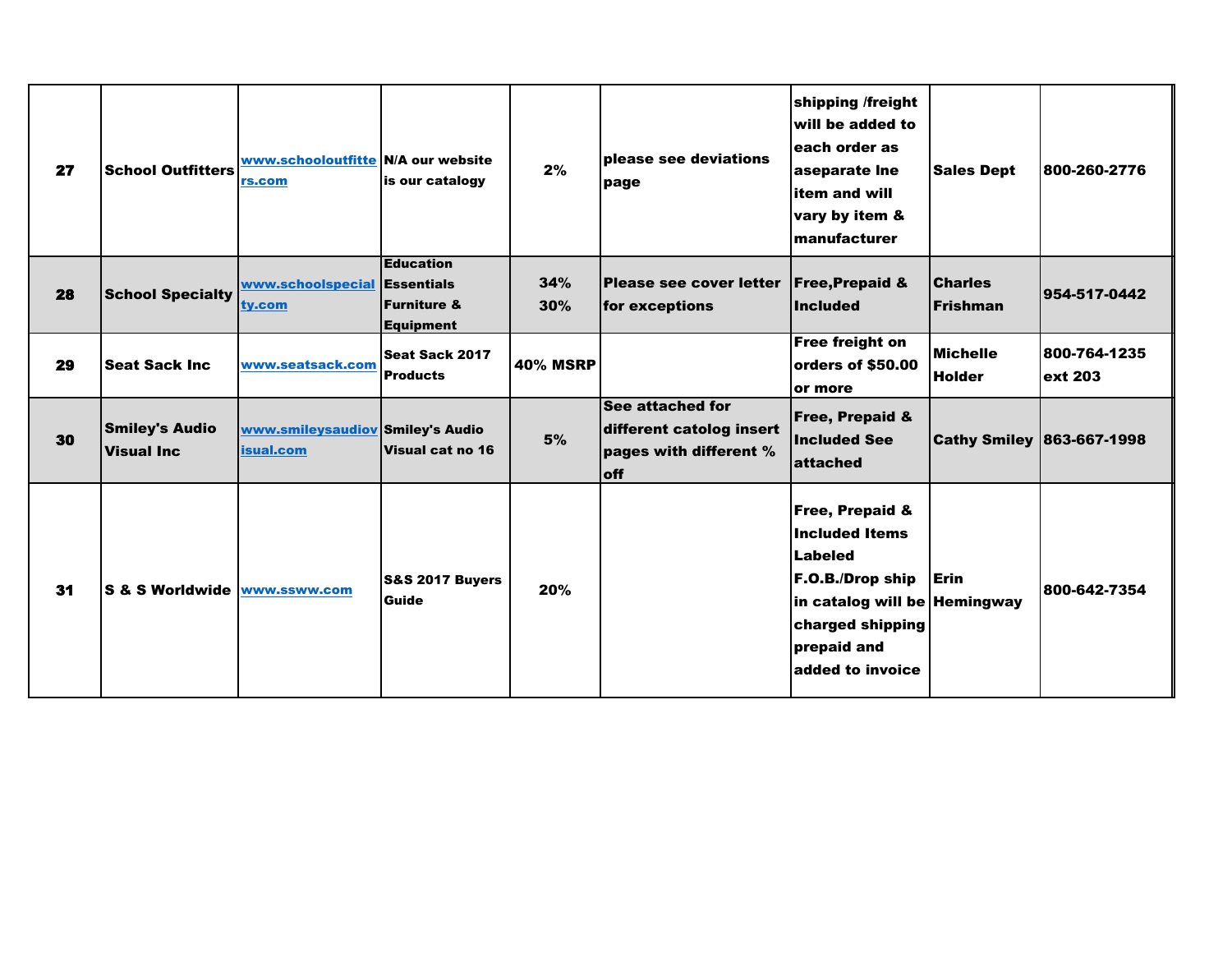| 27 | <b>School Outfitters</b>                   | www.schooloutfitte N/A our website<br>rs.com  | is our catalogy                                                | 2%              | please see deviations<br>page                                                        | shipping /freight<br>will be added to<br>each order as<br>aseparate Ine<br>item and will<br>vary by item &<br>manufacturer                                         | <b>Sales Dept</b>                 | 800-260-2776             |
|----|--------------------------------------------|-----------------------------------------------|----------------------------------------------------------------|-----------------|--------------------------------------------------------------------------------------|--------------------------------------------------------------------------------------------------------------------------------------------------------------------|-----------------------------------|--------------------------|
| 28 | <b>School Specialty</b>                    | www.schoolspecial Essentials<br>ty.com        | <b>Education</b><br><b>Furniture &amp;</b><br><b>Equipment</b> | 34%<br>30%      | <b>Please see cover letter</b><br>for exceptions                                     | <b>Free, Prepaid &amp;</b><br><b>Included</b>                                                                                                                      | <b>Charles</b><br><b>Frishman</b> | 954-517-0442             |
| 29 | <b>Seat Sack Inc.</b>                      | www.seatsack.com                              | Seat Sack 2017<br><b>Products</b>                              | <b>40% MSRP</b> |                                                                                      | <b>Free freight on</b><br>orders of \$50.00<br>or more                                                                                                             | <b>Michelle</b><br><b>Holder</b>  | 800-764-1235 <br>ext 203 |
| 30 | <b>Smiley's Audio</b><br><b>Visual Inc</b> | www.smileysaudiov Smiley's Audio<br>isual.com | Visual cat no 16                                               | 5%              | See attached for<br>different catolog insert<br>pages with different %<br><b>off</b> | <b>Free, Prepaid &amp;</b><br><b>Included See</b><br>lattached                                                                                                     | <b>Cathy Smiley 863-667-1998</b>  |                          |
| 31 | S & S Worldwide www.ssww.com               |                                               | <b>S&amp;S 2017 Buyers</b><br>Guide                            | 20%             |                                                                                      | <b>Free, Prepaid &amp;</b><br>Included Items<br>Labeled<br>F.O.B./Drop ship<br>in catalog will be Hemingway<br>charged shipping<br>prepaid and<br>added to invoice | Erin                              | 800-642-7354             |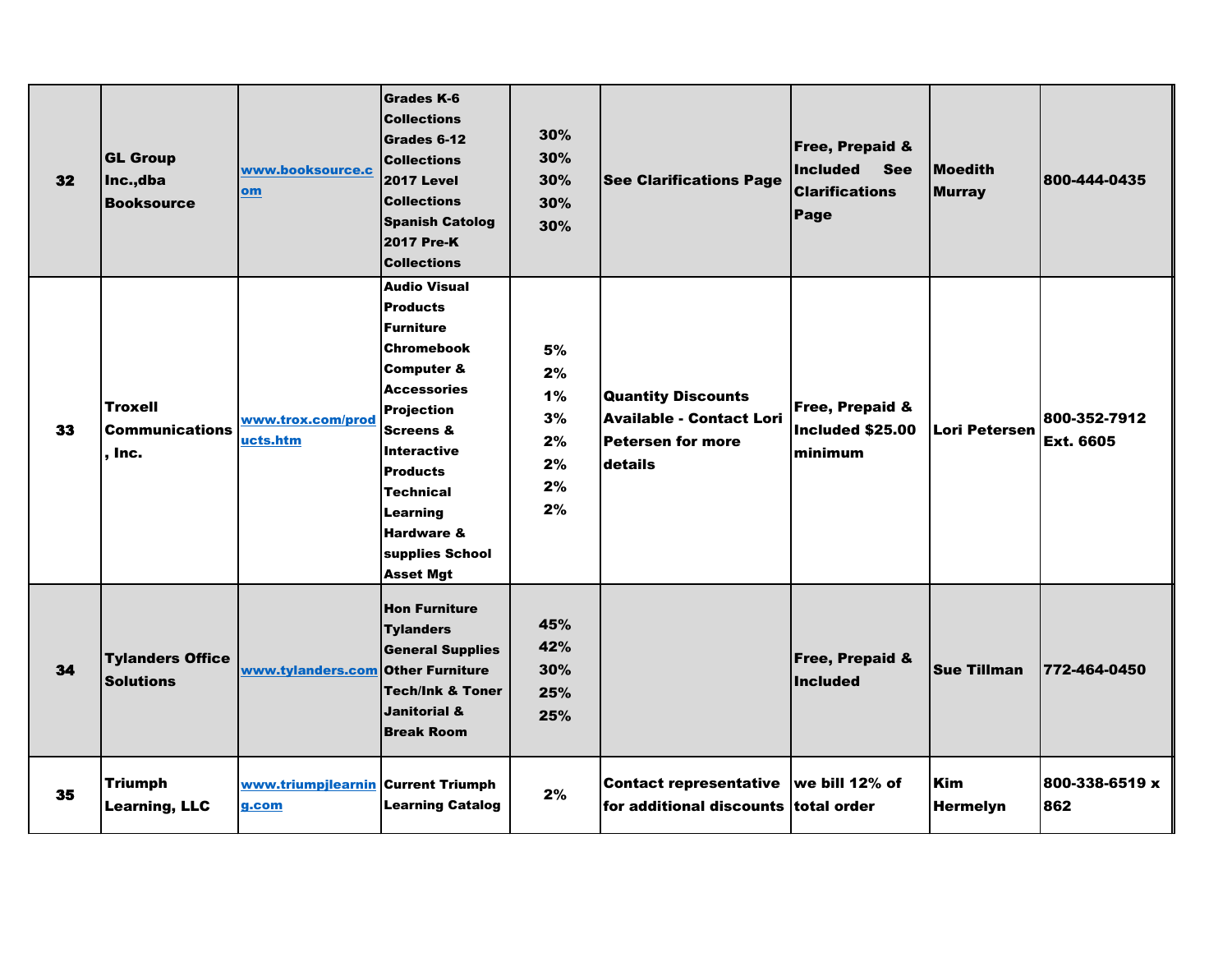| 32 | <b>GL Group</b><br>Inc.,dba<br><b>Booksource</b>  | www.booksource.c<br>om                      | <b>Grades K-6</b><br><b>Collections</b><br>Grades 6-12<br><b>Collections</b><br><b>2017 Level</b><br><b>Collections</b><br><b>Spanish Catolog</b><br><b>2017 Pre-K</b><br><b>Collections</b>                                                                                                                         | 30%<br>30%<br>30%<br>30%<br>30%              | <b>See Clarifications Page</b>                                                               | <b>Free, Prepaid &amp;</b><br><b>Included</b><br><b>See</b><br><b>Clarifications</b><br>Page | <b>Moedith</b><br><b>Murray</b> | 800-444-0435                     |
|----|---------------------------------------------------|---------------------------------------------|----------------------------------------------------------------------------------------------------------------------------------------------------------------------------------------------------------------------------------------------------------------------------------------------------------------------|----------------------------------------------|----------------------------------------------------------------------------------------------|----------------------------------------------------------------------------------------------|---------------------------------|----------------------------------|
| 33 | <b>Troxell</b><br><b>Communications</b><br>. Inc. | www.trox.com/prod<br><u>ucts.htm</u>        | <b>Audio Visual</b><br><b>Products</b><br><b>Furniture</b><br><b>Chromebook</b><br><b>Computer &amp;</b><br><b>Accessories</b><br><b>Projection</b><br><b>Screens &amp;</b><br><b>Interactive</b><br><b>Products</b><br><b>Technical</b><br>Learning<br><b>Hardware &amp;</b><br>supplies School<br><b>Asset Mgt</b> | 5%<br>2%<br>1%<br>3%<br>2%<br>2%<br>2%<br>2% | <b>Quantity Discounts</b><br><b>Available - Contact Lori</b><br>Petersen for more<br>details | Free, Prepaid &<br>Included \$25.00<br>minimum                                               | <b>Lori Petersen</b>            | 800-352-7912<br><b>Ext. 6605</b> |
| 34 | <b>Tylanders Office</b><br><b>Solutions</b>       | www.tylanders.com Other Furniture           | <b>Hon Furniture</b><br><b>Tylanders</b><br><b>General Supplies</b><br><b>Tech/Ink &amp; Toner</b><br><b>Janitorial &amp;</b><br><b>Break Room</b>                                                                                                                                                                   | 45%<br>42%<br>30%<br>25%<br>25%              |                                                                                              | <b>Free, Prepaid &amp;</b><br><b>Included</b>                                                | <b>Sue Tillman</b>              | 772-464-0450                     |
| 35 | <b>Triumph</b><br><b>Learning, LLC</b>            | www.triumpjlearnin Current Triumph<br>g.com | <b>Learning Catalog</b>                                                                                                                                                                                                                                                                                              | 2%                                           | <b>Contact representative</b><br>for additional discounts total order                        | we bill 12% of                                                                               | Kim<br><b>Hermelyn</b>          | 800-338-6519 x<br>862            |